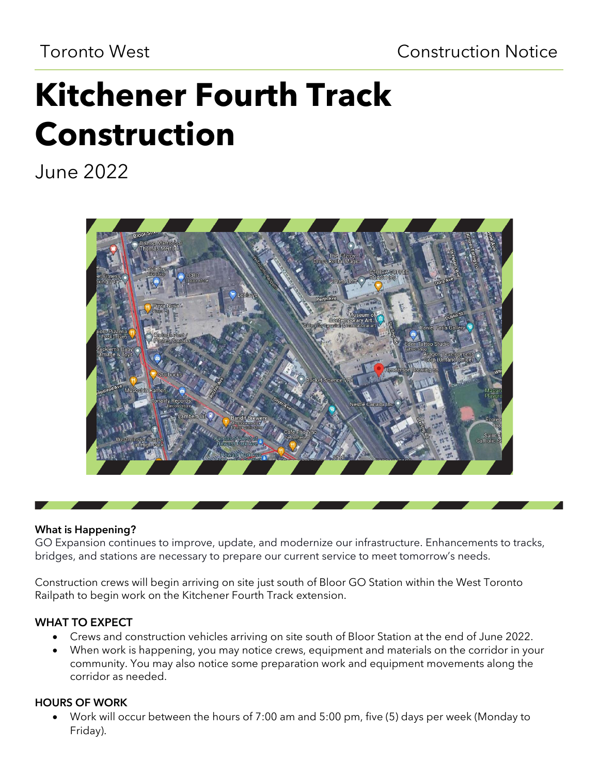## Toronto West Construction Notice

# **Kitchener Fourth Track Construction**

June 2022



#### What is Happening?

GO Expansion continues to improve, update, and modernize our infrastructure. Enhancements to tracks, bridges, and stations are necessary to prepare our current service to meet tomorrow's needs.

Construction crews will begin arriving on site just south of Bloor GO Station within the West Toronto Railpath to begin work on the Kitchener Fourth Track extension.

## WHAT TO EXPECT

- Crews and construction vehicles arriving on site south of Bloor Station at the end of June 2022.
- When work is happening, you may notice crews, equipment and materials on the corridor in your community. You may also notice some preparation work and equipment movements along the corridor as needed.

## HOURS OF WORK

• Work will occur between the hours of 7:00 am and 5:00 pm, five (5) days per week (Monday to Friday).